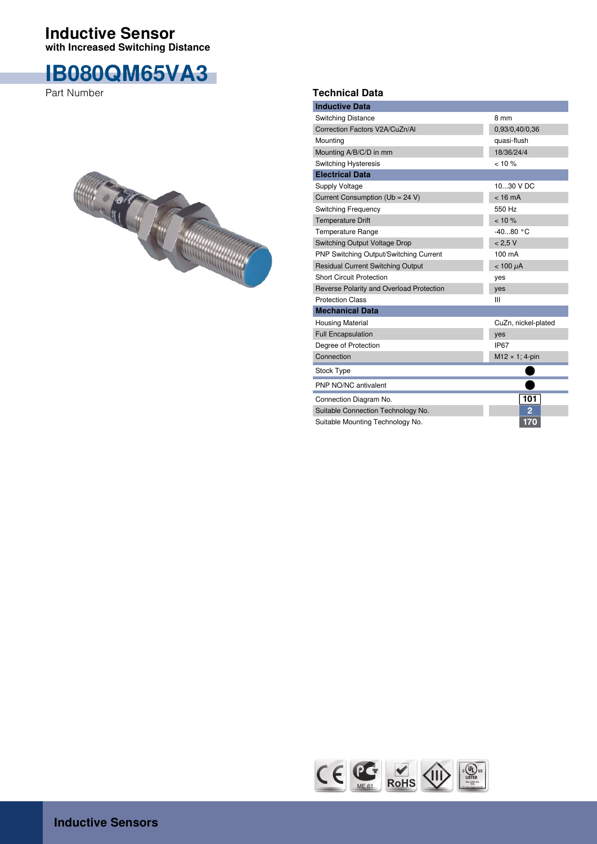## **with Increased Switching Distance Inductive Sensor**

## **IB080QM65VA3**

Part Number



## **Technical Data**

| <b>Inductive Data</b>                    |                        |  |  |
|------------------------------------------|------------------------|--|--|
| <b>Switching Distance</b>                | 8 mm                   |  |  |
| Correction Factors V2A/CuZn/AI           | 0,93/0,40/0,36         |  |  |
| Mounting                                 | quasi-flush            |  |  |
| Mounting A/B/C/D in mm                   | 18/36/24/4             |  |  |
| <b>Switching Hysteresis</b>              | < 10 %                 |  |  |
| <b>Electrical Data</b>                   |                        |  |  |
| <b>Supply Voltage</b>                    | 1030 V DC              |  |  |
| Current Consumption (Ub = 24 V)          | $< 16 \text{ mA}$      |  |  |
| <b>Switching Frequency</b>               | 550 Hz                 |  |  |
| <b>Temperature Drift</b>                 | $< 10 \%$              |  |  |
| <b>Temperature Range</b>                 | $-4080 °C$             |  |  |
| Switching Output Voltage Drop            | < 2.5 V                |  |  |
| PNP Switching Output/Switching Current   | 100 mA                 |  |  |
| <b>Residual Current Switching Output</b> | $< 100 \mu A$          |  |  |
| <b>Short Circuit Protection</b>          | yes                    |  |  |
| Reverse Polarity and Overload Protection | yes                    |  |  |
| <b>Protection Class</b>                  | Ш                      |  |  |
| <b>Mechanical Data</b>                   |                        |  |  |
| <b>Housing Material</b>                  | CuZn, nickel-plated    |  |  |
| <b>Full Encapsulation</b>                | yes                    |  |  |
| Degree of Protection                     | IP <sub>67</sub>       |  |  |
| Connection                               | $M12 \times 1$ ; 4-pin |  |  |
| <b>Stock Type</b>                        |                        |  |  |
| PNP NO/NC antivalent                     |                        |  |  |
| Connection Diagram No.                   | 101                    |  |  |
| Suitable Connection Technology No.       | $\overline{2}$         |  |  |
| Suitable Mounting Technology No.         | 170                    |  |  |